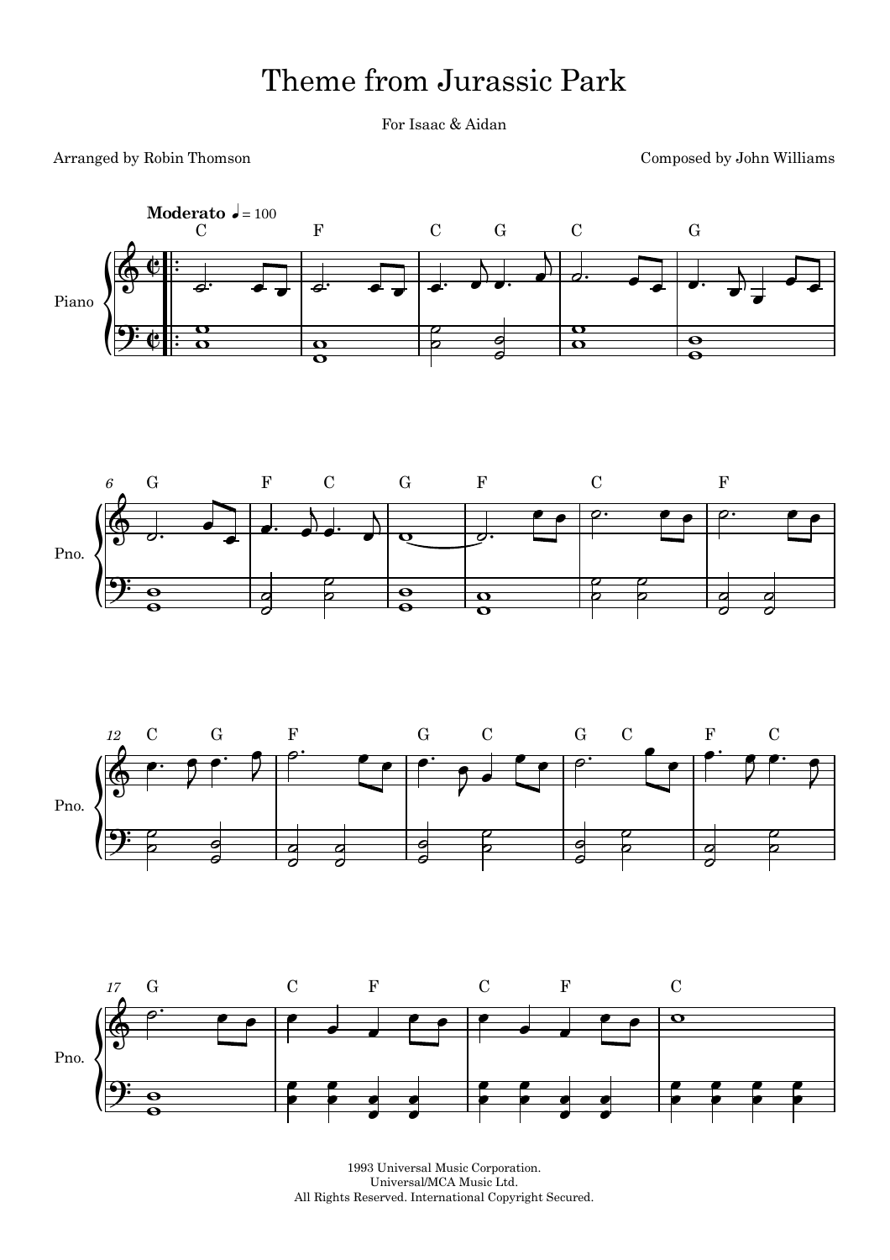## Theme from Jurassic Park

For Isaac & Aidan

## Arranged by Robin Thomson

Composed by John Williams









1993 Universal Music Corporation. Universal/MCA Music Ltd. All Rights Reserved. International Copyright Secured.